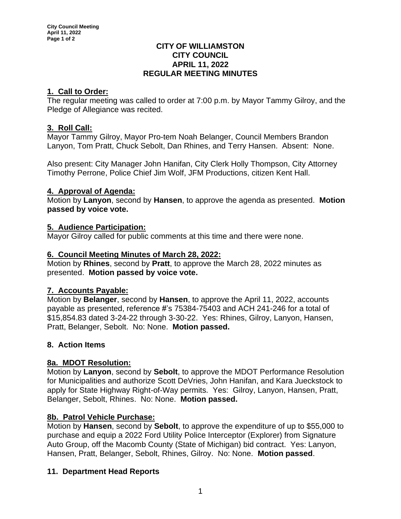## **CITY OF WILLIAMSTON CITY COUNCIL APRIL 11, 2022 REGULAR MEETING MINUTES**

# **1. Call to Order:**

The regular meeting was called to order at 7:00 p.m. by Mayor Tammy Gilroy, and the Pledge of Allegiance was recited.

# **3. Roll Call:**

Mayor Tammy Gilroy, Mayor Pro-tem Noah Belanger, Council Members Brandon Lanyon, Tom Pratt, Chuck Sebolt, Dan Rhines, and Terry Hansen. Absent: None.

Also present: City Manager John Hanifan, City Clerk Holly Thompson, City Attorney Timothy Perrone, Police Chief Jim Wolf, JFM Productions, citizen Kent Hall.

# **4. Approval of Agenda:**

Motion by **Lanyon**, second by **Hansen**, to approve the agenda as presented. **Motion passed by voice vote.**

## **5. Audience Participation:**

Mayor Gilroy called for public comments at this time and there were none.

# **6. Council Meeting Minutes of March 28, 2022:**

Motion by **Rhines**, second by **Pratt**, to approve the March 28, 2022 minutes as presented. **Motion passed by voice vote.**

## **7. Accounts Payable:**

Motion by **Belanger**, second by **Hansen**, to approve the April 11, 2022, accounts payable as presented, reference #'s 75384-75403 and ACH 241-246 for a total of \$15,854.83 dated 3-24-22 through 3-30-22. Yes: Rhines, Gilroy, Lanyon, Hansen, Pratt, Belanger, Sebolt. No: None. **Motion passed.**

## **8. Action Items**

## **8a. MDOT Resolution:**

Motion by **Lanyon**, second by **Sebolt**, to approve the MDOT Performance Resolution for Municipalities and authorize Scott DeVries, John Hanifan, and Kara Jueckstock to apply for State Highway Right-of-Way permits. Yes: Gilroy, Lanyon, Hansen, Pratt, Belanger, Sebolt, Rhines. No: None. **Motion passed.**

## **8b. Patrol Vehicle Purchase:**

Motion by **Hansen**, second by **Sebolt**, to approve the expenditure of up to \$55,000 to purchase and equip a 2022 Ford Utility Police Interceptor (Explorer) from Signature Auto Group, off the Macomb County (State of Michigan) bid contract. Yes: Lanyon, Hansen, Pratt, Belanger, Sebolt, Rhines, Gilroy. No: None. **Motion passed**.

# **11. Department Head Reports**